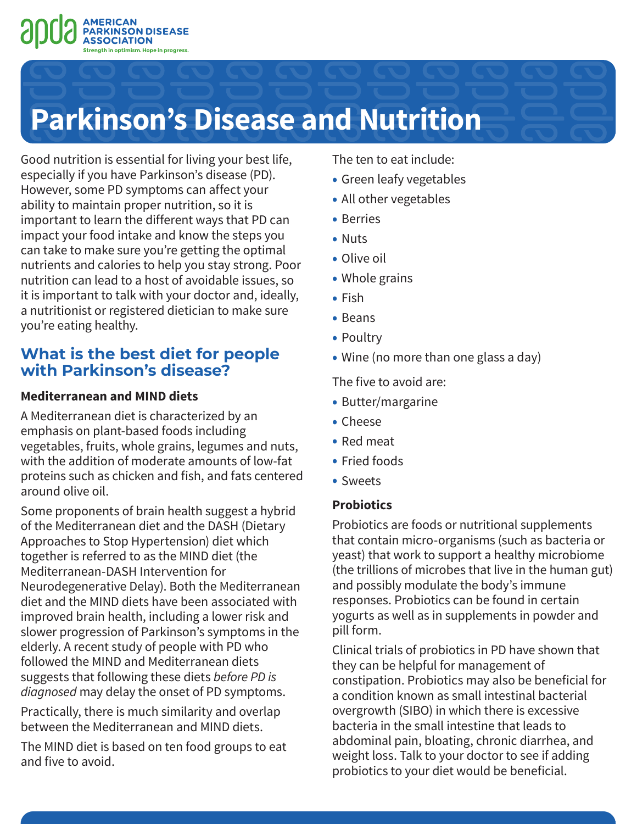

# **Parkinson's Disease and Nutrition**

Good nutrition is essential for living your best life, especially if you have Parkinson's disease (PD). However, some PD symptoms can affect your ability to maintain proper nutrition, so it is important to learn the different ways that PD can impact your food intake and know the steps you can take to make sure you're getting the optimal nutrients and calories to help you stay strong. Poor nutrition can lead to a host of avoidable issues, so it is important to talk with your doctor and, ideally, a nutritionist or registered dietician to make sure you're eating healthy.

# **What is the best diet for people with Parkinson's disease?**

### **Mediterranean and MIND diets**

A Mediterranean diet is characterized by an emphasis on plant-based foods including vegetables, fruits, whole grains, legumes and nuts, with the addition of moderate amounts of low-fat proteins such as chicken and fish, and fats centered around olive oil.

Some proponents of brain health suggest a hybrid of the Mediterranean diet and the DASH (Dietary Approaches to Stop Hypertension) diet which together is referred to as the MIND diet (the Mediterranean-DASH Intervention for Neurodegenerative Delay). Both the Mediterranean diet and the MIND diets have been associated with improved brain health, including a lower risk and slower progression of Parkinson's symptoms in the elderly. A recent study of people with PD who followed the MIND and Mediterranean diets suggests that following these diets *before PD is diagnosed* may delay the onset of PD symptoms.

Practically, there is much similarity and overlap between the Mediterranean and MIND diets.

The MIND diet is based on ten food groups to eat and five to avoid.

The ten to eat include:

- Green leafy vegetables
- All other vegetables
- Berries
- Nuts
- Olive oil
- Whole grains
- Fish
- Beans
- Poultry
- Wine (no more than one glass a day)

The five to avoid are:

- Butter/margarine
- Cheese
- Red meat
- Fried foods
- Sweets

## **Probiotics**

Probiotics are foods or nutritional supplements that contain micro-organisms (such as bacteria or yeast) that work to support a healthy microbiome (the trillions of microbes that live in the human gut) and possibly modulate the body's immune responses. Probiotics can be found in certain yogurts as well as in supplements in powder and pill form.

Clinical trials of probiotics in PD have shown that they can be helpful for management of constipation. Probiotics may also be beneficial for a condition known as small intestinal bacterial overgrowth (SIBO) in which there is excessive bacteria in the small intestine that leads to abdominal pain, bloating, chronic diarrhea, and weight loss. Talk to your doctor to see if adding probiotics to your diet would be beneficial.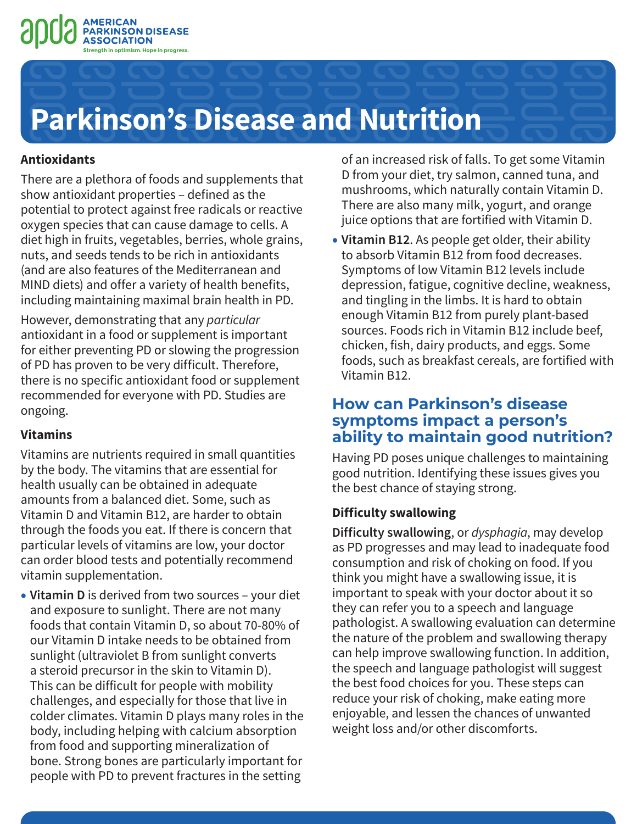



#### **Antioxidants**

There are a plethora of foods and supplements that show antioxidant properties – defined as the potential to protect against free radicals or reactive oxygen species that can cause damage to cells. A diet high in fruits, vegetables, berries, whole grains, nuts, and seeds tends to be rich in antioxidants (and are also features of the Mediterranean and MIND diets) and offer a variety of health benefits, including maintaining maximal brain health in PD.

However, demonstrating that any *particular* antioxidant in a food or supplement is important for either preventing PD or slowing the progression of PD has proven to be very difficult. Therefore, there is no specific antioxidant food or supplement recommended for everyone with PD. Studies are ongoing.

#### **Vitamins**

Vitamins are nutrients required in small quantities by the body. The vitamins that are essential for health usually can be obtained in adequate amounts from a balanced diet. Some, such as Vitamin D and Vitamin B12, are harder to obtain through the foods you eat. If there is concern that particular levels of vitamins are low, your doctor can order blood tests and potentially recommend vitamin supplementation.

**• Vitamin D** is derived from two sources – your diet and exposure to sunlight. There are not many foods that contain Vitamin D, so about 70-80% of our Vitamin D intake needs to be obtained from sunlight (ultraviolet B from sunlight converts a steroid precursor in the skin to Vitamin D). This can be difficult for people with mobility challenges, and especially for those that live in colder climates. Vitamin D plays many roles in the body, including helping with calcium absorption from food and supporting mineralization of bone. Strong bones are particularly important for people with PD to prevent fractures in the setting

of an increased risk of falls. To get some Vitamin D from your diet, try salmon, canned tuna, and mushrooms, which naturally contain Vitamin D. There are also many milk, yogurt, and orange juice options that are fortified with Vitamin D.

**• Vitamin B12**. As people get older, their ability to absorb Vitamin B12 from food decreases. Symptoms of low Vitamin B12 levels include depression, fatigue, cognitive decline, weakness, and tingling in the limbs. It is hard to obtain enough Vitamin B12 from purely plant-based sources. Foods rich in Vitamin B12 include beef, chicken, fish, dairy products, and eggs. Some foods, such as breakfast cereals, are fortified with Vitamin B12.

# **How can Parkinson's disease symptoms impact a person's ability to maintain good nutrition?**

Having PD poses unique challenges to maintaining good nutrition. Identifying these issues gives you the best chance of staying strong.

#### **Difficulty swallowing**

**Difficulty swallowing**, or *dysphagia*, may develop as PD progresses and may lead to inadequate food consumption and risk of choking on food. If you think you might have a swallowing issue, it is important to speak with your doctor about it so they can refer you to a speech and language pathologist. A swallowing evaluation can determine the nature of the problem and swallowing therapy can help improve swallowing function. In addition, the speech and language pathologist will suggest the best food choices for you. These steps can reduce your risk of choking, make eating more enjoyable, and lessen the chances of unwanted weight loss and/or other discomforts.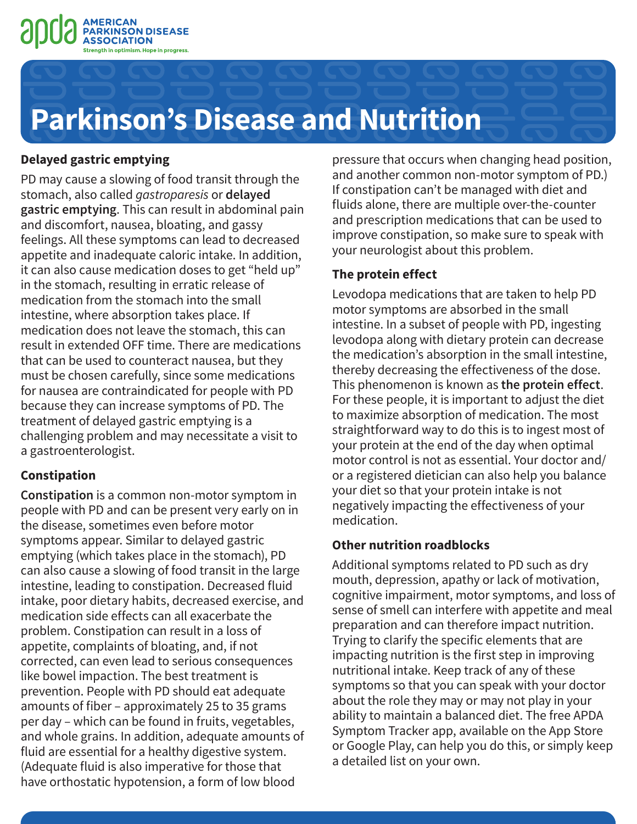



#### **Delayed gastric emptying**

PD may cause a slowing of food transit through the stomach, also called *gastroparesis* or **delayed gastric emptying**. This can result in abdominal pain and discomfort, nausea, bloating, and gassy feelings. All these symptoms can lead to decreased appetite and inadequate caloric intake. In addition, it can also cause medication doses to get "held up" in the stomach, resulting in erratic release of medication from the stomach into the small intestine, where absorption takes place. If medication does not leave the stomach, this can result in extended OFF time. There are medications that can be used to counteract nausea, but they must be chosen carefully, since some medications for nausea are contraindicated for people with PD because they can increase symptoms of PD. The treatment of delayed gastric emptying is a challenging problem and may necessitate a visit to a gastroenterologist.

#### **Constipation**

**Constipation** is a common non-motor symptom in people with PD and can be present very early on in the disease, sometimes even before motor symptoms appear. Similar to delayed gastric emptying (which takes place in the stomach), PD can also cause a slowing of food transit in the large intestine, leading to constipation. Decreased fluid intake, poor dietary habits, decreased exercise, and medication side effects can all exacerbate the problem. Constipation can result in a loss of appetite, complaints of bloating, and, if not corrected, can even lead to serious consequences like bowel impaction. The best treatment is prevention. People with PD should eat adequate amounts of fiber – approximately 25 to 35 grams per day – which can be found in fruits, vegetables, and whole grains. In addition, adequate amounts of fluid are essential for a healthy digestive system. (Adequate fluid is also imperative for those that have orthostatic hypotension, a form of low blood

pressure that occurs when changing head position, and another common non-motor symptom of PD.) If constipation can't be managed with diet and fluids alone, there are multiple over-the-counter and prescription medications that can be used to improve constipation, so make sure to speak with your neurologist about this problem.

### **The protein effect**

Levodopa medications that are taken to help PD motor symptoms are absorbed in the small intestine. In a subset of people with PD, ingesting levodopa along with dietary protein can decrease the medication's absorption in the small intestine, thereby decreasing the effectiveness of the dose. This phenomenon is known as **the protein effect**. For these people, it is important to adjust the diet to maximize absorption of medication. The most straightforward way to do this is to ingest most of your protein at the end of the day when optimal motor control is not as essential. Your doctor and/ or a registered dietician can also help you balance your diet so that your protein intake is not negatively impacting the effectiveness of your medication.

### **Other nutrition roadblocks**

Additional symptoms related to PD such as dry mouth, depression, apathy or lack of motivation, cognitive impairment, motor symptoms, and loss of sense of smell can interfere with appetite and meal preparation and can therefore impact nutrition. Trying to clarify the specific elements that are impacting nutrition is the first step in improving nutritional intake. Keep track of any of these symptoms so that you can speak with your doctor about the role they may or may not play in your ability to maintain a balanced diet. The free APDA Symptom Tracker app, available on the App Store or Google Play, can help you do this, or simply keep a detailed list on your own.